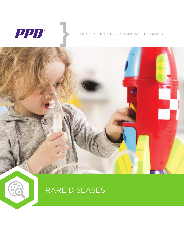

60

#### HELPING DELIVER LIFE-CHANGING THERAPIES



### RARE DISEASES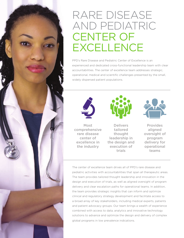## RARE DISEASE AND PEDIATRIC CENTER OF **EXCELLENCE**

PPD's Rare Disease and Pediatric Center of Excellence is an experienced and dedicated cross-functional leadership team with clear accountabilities. The center of excellence team addresses strategic, operational, medical and scientific challenges presented by the small, widely dispersed patient populations.



Most comprehensive rare disease center of excellence in the industry

**Delivers** tailored thought leadership in the design and execution of trials



**Provides** aligned oversight of program delivery for operational teams

The center of excellence team drives all of PPD's rare disease and pediatric activities with accountabilities that span all therapeutic areas. The team provides tailored thought leadership and innovation in the design and execution of trials, as well as aligned oversight of program delivery and clear escalation paths for operational teams. In addition, the team provides strategic insights that can inform and optimize clinical and regulatory strategy development and facilitate access to a broad array of key stakeholders, including medical experts, patients and patient advocacy groups. Our team brings a wealth of experience combined with access to data, analytics and innovative technology solutions to advance and optimize the design and delivery of complex global programs in low prevalence indications.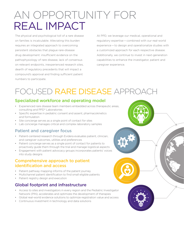# AN OPPORTUNITY FOR REAL IMPACT

The physical and psychological toll of a rare disease on families is incalculable. Alleviating this burden requires an integrated approach to overcoming persistent obstacles that plague rare-disease drug development: insufficient evidence on the pathophysiology of rare disease, lack of consensus on relevant endpoints, inexperienced research sites, dearth of regulatory precedents that will impact a compound's approval and finding sufficient patient numbers to participate.

At PPD, we leverage our medical, operational and regulatory expertise — combined with our real-world experience — to design and operationalize studies with a customized approach for each respective disease. Additionally, we continue to invest in next-generation capabilities to enhance the investigator, patient and caregiver experience.

## FOCUSED RARE DISEASE APPROACH

#### Specialized workforce and operating model

- Experienced rare disease team members embedded across therapeutic areas, consulting and PPD® Laboratories
- Specific expertise in pediatric consent and assent, pharmacokinetics and formulation
- Site concierge serves as a single point of contact for sites
- Lab concierge manages critical and complex laboratory samples

#### Patient and caregiver focus

- Patient-centered research through Evidera evaluates patient, clinician, and caregiver outcomes, utilities and preferences
- Patient concierge serves as a single point of contact for patients to proactively guide them through the trial and manage logistical aspects
- Engagement with patient advocacy groups incorporates patients' voices into study designs

#### Comprehensive approach to patient identification and access

- Patient pathway mapping informs of the patient journey
- Multichannel patient identification to find small eligible patients
- Patient registry design and execution

#### Global footprint and infrastructure

- Access to sites and investigators in every region and the Pediatric Investigator Network (PIN), accelerates and optimizes the development of therapies
- Global real-world evidence solutions to optimize registration value and access
- Continuous investment in technology and data solutions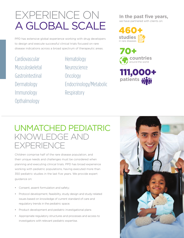# EXPERIENCE ON A GLOBAL SCALE

PPD has extensive global experience working with drug developers to design and execute successful clinical trials focused on rare disease indications across a broad spectrum of therapeutic areas.

Cardiovascular Musculoskeletal Gastrointestinal Dermatology Immunology **Opthalmology** 

Hematology Neuroscience **Oncology** Endocrinology/Metabolic **Respiratory** 

**In the past five years,**  we have partnered with clients on:

460+ **studies** in rare diseases

70+ **countries**<br>around the world



### UNMATCHED PEDIATRIC KNOWLEDGE AND **EXPERIENCE**

Children comprise half of the rare disease population, and their unique needs and challenges must be considered when planning and executing clinical trials. PPD has broad experience working with pediatric populations, having executed more than 350 pediatric studies in the last five years. We provide expert guidance on:

- Consent, assent formulation and safety;
- Protocol development, feasibility, study design and study-related issues based on knowledge of current standard of care and regulatory trends in the pediatric space;
- Product development and pediatric investigational plans
- Appropriate regulatory structures and processes and access to investigators with relevant pediatric expertise.

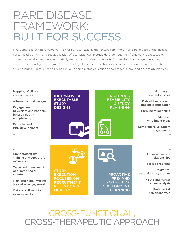## RARE DISEASE FRAMEWORK: BUILT FOR SUCCESS

PPD deploys a four-part framework for rare disease studies that ensures an in-depth understanding of the disease, customized planning and the application of best practices in study development. This framework is executed by cross-functional, cross-therapeutic study teams that consistently work to further their knowledge of evolving science and industry advancements. The four key elements of this framework include innovative and executable study designs, rigorous feasibility and study planning, study execution and proactive pre- and post-study planning.



CROSS-FUNCTIONAL, CROSS-THERAPEUTIC APPROACH